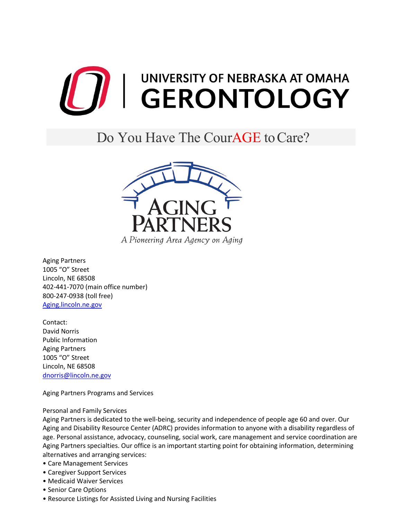

# Do You Have The Cour**AGE** to Care?



Aging Partners 1005 "O" Street Lincoln, NE 68508 402-441-7070 (main office number) 800-247-0938 (toll free) [Aging.lincoln.ne.gov](https://lincoln.ne.gov/city/mayor/aging/)

Contact: David Norris Public Information Aging Partners 1005 "O" Street Lincoln, NE 68508 [dnorris@lincoln.ne.gov](mailto:dnorris@lincoln.ne.gov)

Aging Partners Programs and Services

# Personal and Family Services

Aging Partners is dedicated to the well-being, security and independence of people age 60 and over. Our Aging and Disability Resource Center (ADRC) provides information to anyone with a disability regardless of age. Personal assistance, advocacy, counseling, social work, care management and service coordination are Aging Partners specialties. Our office is an important starting point for obtaining information, determining alternatives and arranging services:

- Care Management Services
- Caregiver Support Services
- Medicaid Waiver Services
- Senior Care Options
- Resource Listings for Assisted Living and Nursing Facilities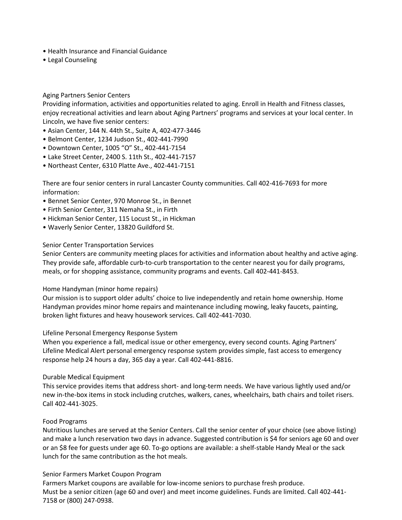- Health Insurance and Financial Guidance
- Legal Counseling

## Aging Partners Senior Centers

Providing information, activities and opportunities related to aging. Enroll in Health and Fitness classes, enjoy recreational activities and learn about Aging Partners' programs and services at your local center. In Lincoln, we have five senior centers:

- Asian Center, 144 N. 44th St., Suite A, 402-477-3446
- Belmont Center, 1234 Judson St., 402-441-7990
- Downtown Center, 1005 "O" St., 402-441-7154
- Lake Street Center, 2400 S. 11th St., 402-441-7157
- Northeast Center, 6310 Platte Ave., 402-441-7151

There are four senior centers in rural Lancaster County communities. Call 402-416-7693 for more information:

- Bennet Senior Center, 970 Monroe St., in Bennet
- Firth Senior Center, 311 Nemaha St., in Firth
- Hickman Senior Center, 115 Locust St., in Hickman
- Waverly Senior Center, 13820 Guildford St.

## Senior Center Transportation Services

Senior Centers are community meeting places for activities and information about healthy and active aging. They provide safe, affordable curb-to-curb transportation to the center nearest you for daily programs, meals, or for shopping assistance, community programs and events. Call 402-441-8453.

#### Home Handyman (minor home repairs)

Our mission is to support older adults' choice to live independently and retain home ownership. Home Handyman provides minor home repairs and maintenance including mowing, leaky faucets, painting, broken light fixtures and heavy housework services. Call 402-441-7030.

#### Lifeline Personal Emergency Response System

When you experience a fall, medical issue or other emergency, every second counts. Aging Partners' Lifeline Medical Alert personal emergency response system provides simple, fast access to emergency response help 24 hours a day, 365 day a year. Call 402-441-8816.

#### Durable Medical Equipment

This service provides items that address short- and long-term needs. We have various lightly used and/or new in-the-box items in stock including crutches, walkers, canes, wheelchairs, bath chairs and toilet risers. Call 402-441-3025.

#### Food Programs

Nutritious lunches are served at the Senior Centers. Call the senior center of your choice (see above listing) and make a lunch reservation two days in advance. Suggested contribution is \$4 for seniors age 60 and over or an \$8 fee for guests under age 60. To-go options are available: a shelf-stable Handy Meal or the sack lunch for the same contribution as the hot meals.

#### Senior Farmers Market Coupon Program

Farmers Market coupons are available for low-income seniors to purchase fresh produce. Must be a senior citizen (age 60 and over) and meet income guidelines. Funds are limited. Call 402-441- 7158 or (800) 247-0938.